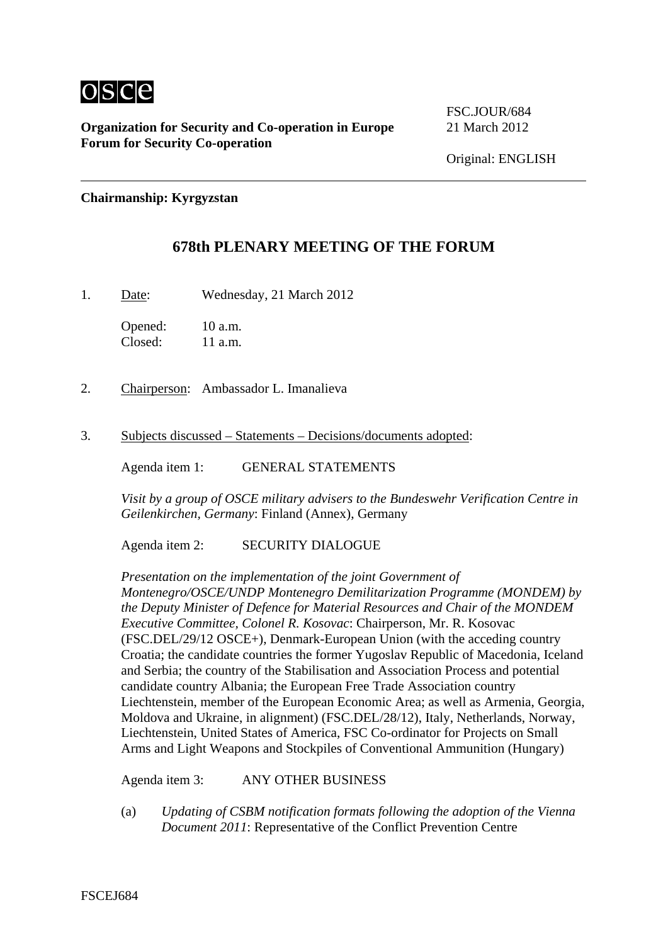

**Organization for Security and Co-operation in Europe** 21 March 2012 **Forum for Security Co-operation**

FSC.JOUR/684

**Chairmanship: Kyrgyzstan** 

## **678th PLENARY MEETING OF THE FORUM**

1. Date: Wednesday, 21 March 2012

Opened: 10 a.m. Closed: 11 a.m.

- 2. Chairperson: Ambassador L. Imanalieva
- 3. Subjects discussed Statements Decisions/documents adopted:

Agenda item 1: GENERAL STATEMENTS

*Visit by a group of OSCE military advisers to the Bundeswehr Verification Centre in Geilenkirchen, Germany*: Finland (Annex), Germany

Agenda item 2: SECURITY DIALOGUE

*Presentation on the implementation of the joint Government of Montenegro/OSCE/UNDP Montenegro Demilitarization Programme (MONDEM) by the Deputy Minister of Defence for Material Resources and Chair of the MONDEM Executive Committee, Colonel R. Kosovac*: Chairperson, Mr. R. Kosovac (FSC.DEL/29/12 OSCE+), Denmark-European Union (with the acceding country Croatia; the candidate countries the former Yugoslav Republic of Macedonia, Iceland and Serbia; the country of the Stabilisation and Association Process and potential candidate country Albania; the European Free Trade Association country Liechtenstein, member of the European Economic Area; as well as Armenia, Georgia, Moldova and Ukraine, in alignment) (FSC.DEL/28/12), Italy, Netherlands, Norway, Liechtenstein, United States of America, FSC Co-ordinator for Projects on Small Arms and Light Weapons and Stockpiles of Conventional Ammunition (Hungary)

Agenda item 3: ANY OTHER BUSINESS

(a) *Updating of CSBM notification formats following the adoption of the Vienna Document 2011*: Representative of the Conflict Prevention Centre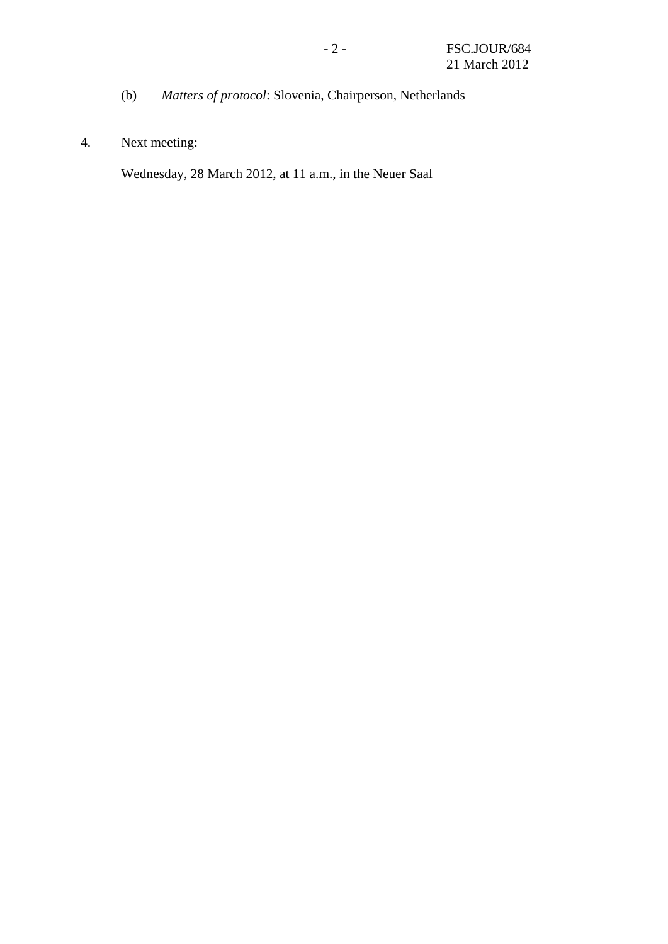(b) *Matters of protocol*: Slovenia, Chairperson, Netherlands

## 4. Next meeting:

Wednesday, 28 March 2012, at 11 a.m., in the Neuer Saal